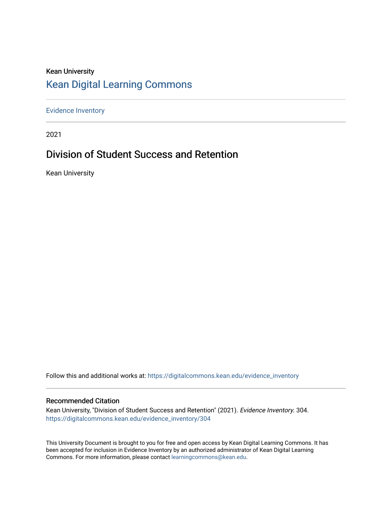### Kean University [Kean Digital Learning Commons](https://digitalcommons.kean.edu/)

[Evidence Inventory](https://digitalcommons.kean.edu/evidence_inventory) 

2021

### Division of Student Success and Retention

Kean University

Follow this and additional works at: [https://digitalcommons.kean.edu/evidence\\_inventory](https://digitalcommons.kean.edu/evidence_inventory?utm_source=digitalcommons.kean.edu%2Fevidence_inventory%2F304&utm_medium=PDF&utm_campaign=PDFCoverPages)

#### Recommended Citation

Kean University, "Division of Student Success and Retention" (2021). Evidence Inventory. 304. [https://digitalcommons.kean.edu/evidence\\_inventory/304](https://digitalcommons.kean.edu/evidence_inventory/304?utm_source=digitalcommons.kean.edu%2Fevidence_inventory%2F304&utm_medium=PDF&utm_campaign=PDFCoverPages)

This University Document is brought to you for free and open access by Kean Digital Learning Commons. It has been accepted for inclusion in Evidence Inventory by an authorized administrator of Kean Digital Learning Commons. For more information, please contact [learningcommons@kean.edu.](mailto:learningcommons@kean.edu)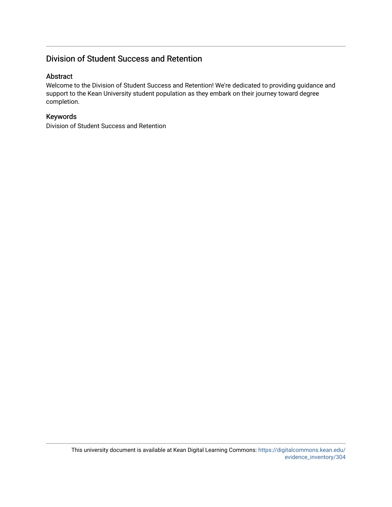### Division of Student Success and Retention

#### Abstract

Welcome to the Division of Student Success and Retention! We're dedicated to providing guidance and support to the Kean University student population as they embark on their journey toward degree completion.

#### Keywords

Division of Student Success and Retention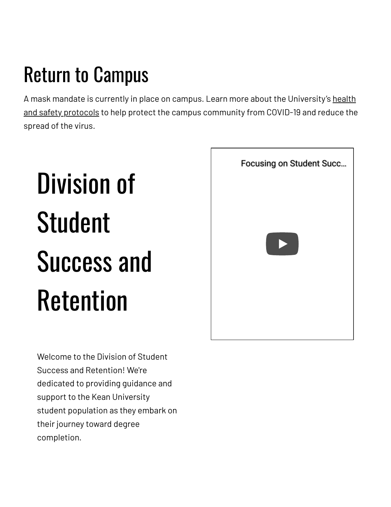## Return to Campus

A mask mandate is currently in place on campus. Learn more about the [University's](https://www.kean.edu/welcome-fall-2021-semester) health and safety protocols to help protect the campus community from COVID-19 and reduce the spread of the virus.

# Division of Student Success and Retention

[Focusing on Student Succ…](https://www.youtube.com/watch?v=VC0R5QbD0Mk)

Welcome to the Division of Student Success and Retention! We're dedicated to providing guidance and support to the Kean University student population as they embark on their journey toward degree completion.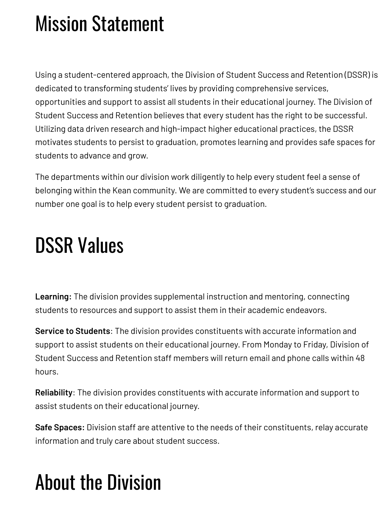### Mission Statement

Using a student-centered approach, the Division of Student Success and Retention (DSSR) is dedicated to transforming students' lives by providing comprehensive services, opportunities and support to assist all students in their educational journey. The Division of Student Success and Retention believes that every student has the right to be successful. Utilizing data driven research and high-impact higher educational practices, the DSSR motivates students to persist to graduation, promotes learning and provides safe spaces for students to advance and grow.

The departments within our division work diligently to help every student feel a sense of belonging within the Kean community. We are committed to every student's success and our number one goal is to help every student persist to graduation.

### DSSR Values

**Learning:** The division provides supplemental instruction and mentoring, connecting students to resources and support to assist them in their academic endeavors.

**Service to Students**: The division provides constituents with accurate information and support to assist students on their educational journey. From Monday to Friday, Division of Student Success and Retention staff members will return email and phone calls within 48 hours.

**Reliability**: The division provides constituents with accurate information and support to assist students on their educational journey.

**Safe Spaces:** Division staff are attentive to the needs of their constituents, relay accurate information and truly care about student success.

### About the Division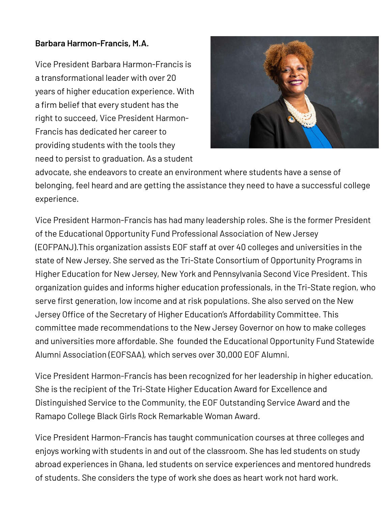### **Barbara Harmon-Francis, M.A.**

Vice President Barbara Harmon-Francis is a transformational leader with over 20 years of higher education experience. With a firm belief that every student has the right to succeed, Vice President Harmon-Francis has dedicated her career to providing students with the tools they need to persist to graduation. As a student



advocate, she endeavors to create an environment where students have a sense of belonging, feel heard and are getting the assistance they need to have a successful college experience.

Vice President Harmon-Francis has had many leadership roles. She is the former President of the Educational Opportunity Fund Professional Association of New Jersey (EOFPANJ).This organization assists EOF staff at over 40 colleges and universities in the state of New Jersey. She served as the Tri-State Consortium of Opportunity Programs in Higher Education for New Jersey, New York and Pennsylvania Second Vice President. This organization guides and informs higher education professionals, in the Tri-State region, who serve first generation, low income and at risk populations. She also served on the New Jersey Office of the Secretary of Higher Education's Affordability Committee. This committee made recommendations to the New Jersey Governor on how to make colleges and universities more affordable. She founded the Educational Opportunity Fund Statewide Alumni Association (EOFSAA), which serves over 30,000 EOF Alumni.

Vice President Harmon-Francis has been recognized for her leadership in higher education. She is the recipient of the Tri-State Higher Education Award for Excellence and Distinguished Service to the Community, the EOF Outstanding Service Award and the Ramapo College Black Girls Rock Remarkable Woman Award.

Vice President Harmon-Francis has taught communication courses at three colleges and enjoys working with students in and out of the classroom. She has led students on study abroad experiences in Ghana, led students on service experiences and mentored hundreds of students. She considers the type of work she does as heart work not hard work.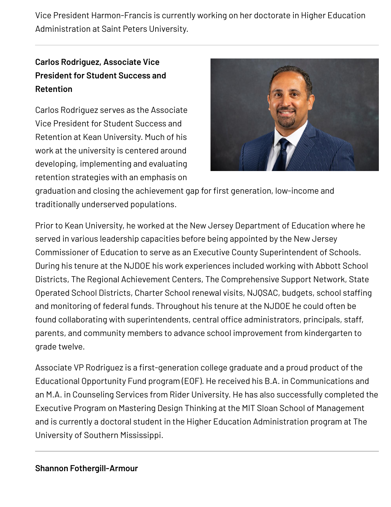Vice President Harmon-Francis is currently working on her doctorate in Higher Education Administration at Saint Peters University.

### **Carlos Rodriguez, Associate Vice President for Student Success and Retention**

Carlos Rodriguez serves as the Associate Vice President for Student Success and Retention at Kean University. Much of his work at the university is centered around developing, implementing and evaluating retention strategies with an emphasis on



graduation and closing the achievement gap for first generation, low-income and traditionally underserved populations.

Prior to Kean University, he worked at the New Jersey Department of Education where he served in various leadership capacities before being appointed by the New Jersey Commissioner of Education to serve as an Executive County Superintendent of Schools. During his tenure at the NJDOE his work experiences included working with Abbott School Districts, The Regional Achievement Centers, The Comprehensive Support Network, State Operated School Districts, Charter School renewal visits, NJQSAC, budgets, school staffing and monitoring of federal funds. Throughout his tenure at the NJDOE he could often be found collaborating with superintendents, central office administrators, principals, staff, parents, and community members to advance school improvement from kindergarten to grade twelve.

Associate VP Rodriguez is a first-generation college graduate and a proud product of the Educational Opportunity Fund program (EOF). He received his B.A. in Communications and an M.A. in Counseling Services from Rider University. He has also successfully completed the Executive Program on Mastering Design Thinking at the MIT Sloan School of Management and is currently a doctoral student in the Higher Education Administration program at The University of Southern Mississippi.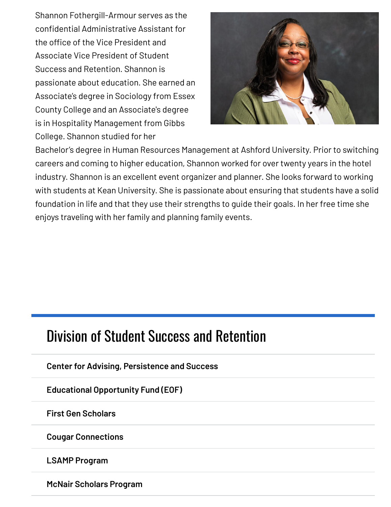Shannon Fothergill-Armour serves as the confidential Administrative Assistant for the office of the Vice President and Associate Vice President of Student Success and Retention. Shannon is passionate about education. She earned an Associate's degree in Sociology from Essex County College and an Associate's degree is in Hospitality Management from Gibbs College. Shannon studied for her



Bachelor's degree in Human Resources Management at Ashford University. Prior to switching careers and coming to higher education, Shannon worked for over twenty years in the hotel industry. Shannon is an excellent event organizer and planner. She looks forward to working with students at Kean University. She is passionate about ensuring that students have a solid foundation in life and that they use their strengths to guide their goals. In her free time she enjoys traveling with her family and planning family events.

### Division of Student Success and [Retention](https://www.kean.edu/offices/student-success-and-retention)

**Center for Advising, [Persistence](https://www.kean.edu/offices/student-success-and-retention/center-advising-persistence-and-success) and Success**

**Educational [Opportunity](https://www.kean.edu/eof) Fund (EOF)**

**First Gen [Scholars](https://www.kean.edu/offices/student-success-and-retention/first-gen-scholars)**

**Cougar [Connections](https://www.kean.edu/cougar-connections)**

**LSAMP [Program](https://www.kean.edu/offices/student-success-and-retention/lsamp-program)**

**McNair [Scholars](https://www.kean.edu/mcnair) Program**